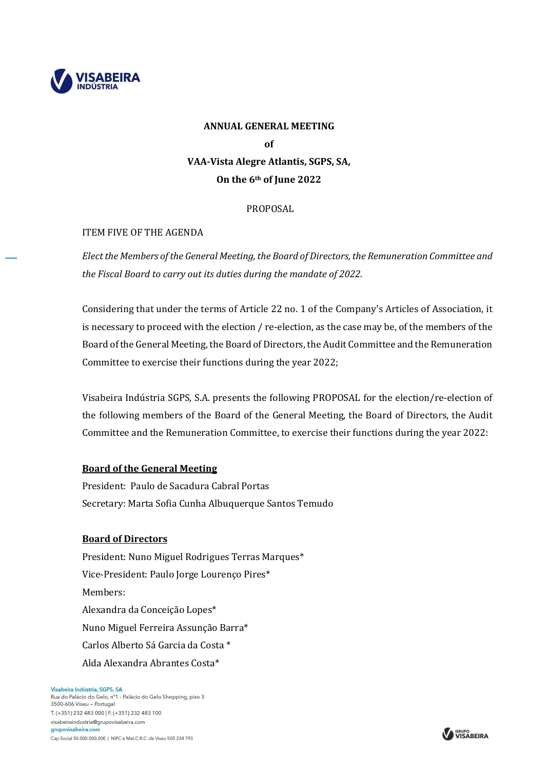

# **ANNUAL GENERAL MEETING of VAA-Vista Alegre Atlantis, SGPS, SA, On the 6th of June 2022**

## PROPOSAL

## ITEM FIVE OF THE AGENDA

*Elect the Members of the General Meeting, the Board of Directors, the Remuneration Committee and the Fiscal Board to carry out its duties during the mandate of 2022.* 

Considering that under the terms of Article 22 no. 1 of the Company's Articles of Association, it is necessary to proceed with the election / re-election, as the case may be, of the members of the Board of the General Meeting, the Board of Directors, the Audit Committee and the Remuneration Committee to exercise their functions during the year 2022;

Visabeira Indústria SGPS, S.A. presents the following PROPOSAL for the election/re-election of the following members of the Board of the General Meeting, the Board of Directors, the Audit Committee and the Remuneration Committee, to exercise their functions during the year 2022:

## **Board of the General Meeting**

President: Paulo de Sacadura Cabral Portas Secretary: Marta Sofia Cunha Albuquerque Santos Temudo

#### **Board of Directors**

President: Nuno Miguel Rodrigues Terras Marques\* Vice-President: Paulo Jorge Lourenço Pires\* Members: Alexandra da Conceição Lopes\* Nuno Miguel Ferreira Assunção Barra\* Carlos Alberto Sá Garcia da Costa \* Alda Alexandra Abrantes Costa\*